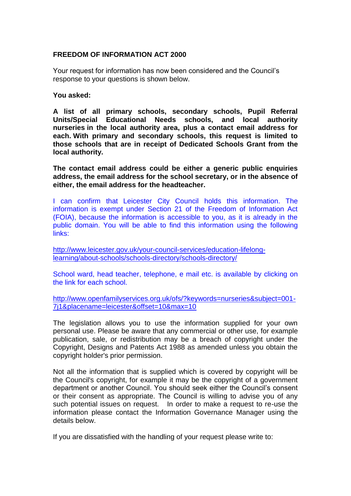## **FREEDOM OF INFORMATION ACT 2000**

Your request for information has now been considered and the Council's response to your questions is shown below.

**You asked:**

**A list of all primary schools, secondary schools, Pupil Referral Units/Special Educational Needs schools, and local authority nurseries in the local authority area, plus a contact email address for each. With primary and secondary schools, this request is limited to those schools that are in receipt of Dedicated Schools Grant from the local authority.**

**The contact email address could be either a generic public enquiries address, the email address for the school secretary, or in the absence of either, the email address for the headteacher.**

I can confirm that Leicester City Council holds this information. The information is exempt under Section 21 of the Freedom of Information Act (FOIA), because the information is accessible to you, as it is already in the public domain. You will be able to find this information using the following links:

[http://www.leicester.gov.uk/your-council-services/education-lifelong](http://www.leicester.gov.uk/your-council-services/education-lifelong-learning/about-schools/schools-directory/schools-directory/)[learning/about-schools/schools-directory/schools-directory/](http://www.leicester.gov.uk/your-council-services/education-lifelong-learning/about-schools/schools-directory/schools-directory/)

School ward, head teacher, telephone, e mail etc. is available by clicking on the link for each school.

[http://www.openfamilyservices.org.uk/ofs/?keywords=nurseries&subject=001-](http://www.openfamilyservices.org.uk/ofs/?keywords=nurseries&subject=001-7j1&placename=leicester&offset=10&max=10) [7j1&placename=leicester&offset=10&max=10](http://www.openfamilyservices.org.uk/ofs/?keywords=nurseries&subject=001-7j1&placename=leicester&offset=10&max=10)

The legislation allows you to use the information supplied for your own personal use. Please be aware that any commercial or other use, for example publication, sale, or redistribution may be a breach of copyright under the Copyright, Designs and Patents Act 1988 as amended unless you obtain the copyright holder's prior permission.

Not all the information that is supplied which is covered by copyright will be the Council's copyright, for example it may be the copyright of a government department or another Council. You should seek either the Council's consent or their consent as appropriate. The Council is willing to advise you of any such potential issues on request. In order to make a request to re-use the information please contact the Information Governance Manager using the details below.

If you are dissatisfied with the handling of your request please write to: